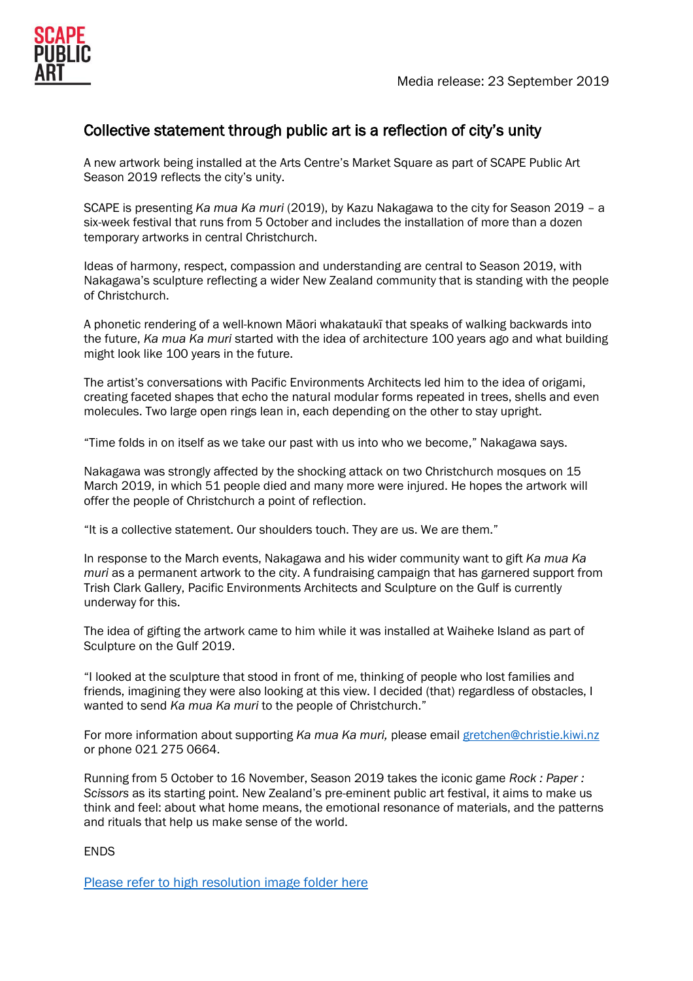# Collective statement through public art is a reflection of city's unity

A new artwork being installed at the Arts Centre's Market Square as part of SCAPE Public Art Season 2019 reflects the city's unity.

SCAPE is presenting *Ka mua Ka muri* (2019), by Kazu Nakagawa to the city for Season 2019 – a six-week festival that runs from 5 October and includes the installation of more than a dozen temporary artworks in central Christchurch.

Ideas of harmony, respect, compassion and understanding are central to Season 2019, with Nakagawa's sculpture reflecting a wider New Zealand community that is standing with the people of Christchurch.

A phonetic rendering of a well-known Māori whakataukī that speaks of walking backwards into the future, *Ka mua Ka muri* started with the idea of architecture 100 years ago and what building might look like 100 years in the future.

The artist's conversations with Pacific Environments Architects led him to the idea of origami, creating faceted shapes that echo the natural modular forms repeated in trees, shells and even molecules. Two large open rings lean in, each depending on the other to stay upright.

"Time folds in on itself as we take our past with us into who we become," Nakagawa says.

Nakagawa was strongly affected by the shocking attack on two Christchurch mosques on 15 March 2019, in which 51 people died and many more were injured. He hopes the artwork will offer the people of Christchurch a point of reflection.

"It is a collective statement. Our shoulders touch. They are us. We are them."

In response to the March events, Nakagawa and his wider community want to gift *Ka mua Ka muri* as a permanent artwork to the city. A fundraising campaign that has garnered support from Trish Clark Gallery, Pacific Environments Architects and Sculpture on the Gulf is currently underway for this.

The idea of gifting the artwork came to him while it was installed at Waiheke Island as part of Sculpture on the Gulf 2019.

"I looked at the sculpture that stood in front of me, thinking of people who lost families and friends, imagining they were also looking at this view. I decided (that) regardless of obstacles, I wanted to send *Ka mua Ka muri* to the people of Christchurch."

For more information about supporting *Ka mua Ka muri,* please email [gretchen@christie.kiwi.nz](mailto:gretchen@christie.kiwi.nz) or phone 021 275 0664.

Running from 5 October to 16 November, Season 2019 takes the iconic game *Rock : Paper : Scissors* as its starting point. New Zealand's pre-eminent public art festival, it aims to make us think and feel: about what home means, the emotional resonance of materials, and the patterns and rituals that help us make sense of the world.

**FNDS** 

[Please refer to high resolution image folder here](https://www.dropbox.com/sh/wh87an0aup5k8x5/AADF197q8X_a5XFmLJDsyLLwa?dl=0)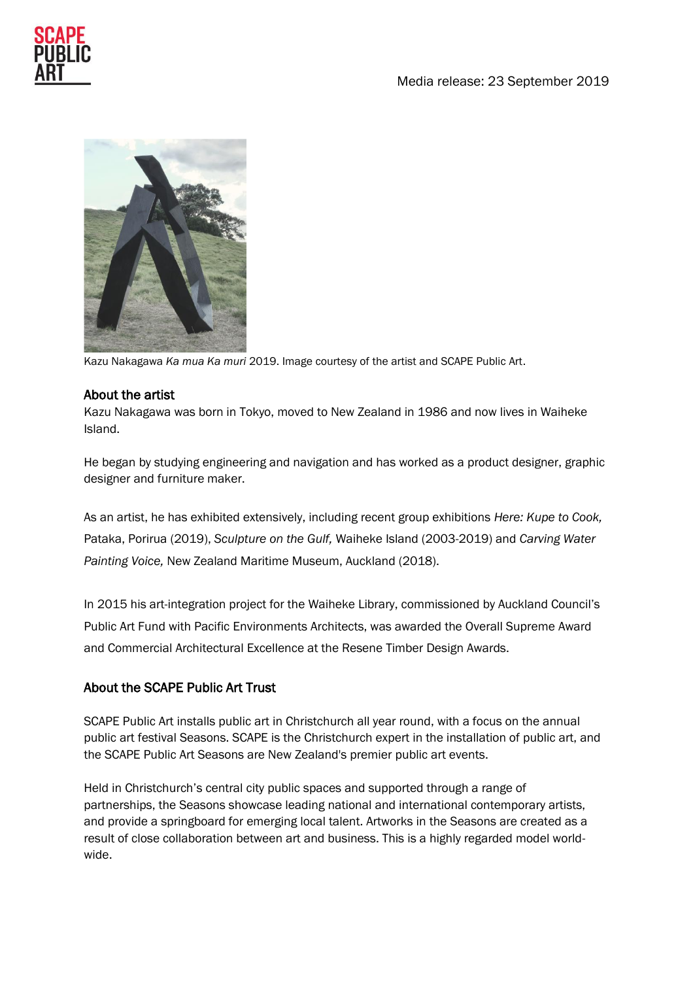



Kazu Nakagawa *Ka mua Ka muri* 2019. Image courtesy of the artist and SCAPE Public Art.

#### About the artist

Kazu Nakagawa was born in Tokyo, moved to New Zealand in 1986 and now lives in Waiheke Island.

He began by studying engineering and navigation and has worked as a product designer, graphic designer and furniture maker.

As an artist, he has exhibited extensively, including recent group exhibitions *Here: Kupe to Cook,* Pataka, Porirua (2019), *Sculpture on the Gulf,* Waiheke Island (2003-2019) and *Carving Water Painting Voice,* New Zealand Maritime Museum, Auckland (2018).

In 2015 his art-integration project for the Waiheke Library, commissioned by Auckland Council's Public Art Fund with Pacific Environments Architects, was awarded the Overall Supreme Award and Commercial Architectural Excellence at the Resene Timber Design Awards.

## About the SCAPE Public Art Trust

SCAPE Public Art installs public art in Christchurch all year round, with a focus on the annual public art festival Seasons. SCAPE is the Christchurch expert in the installation of public art, and the SCAPE Public Art Seasons are New Zealand's premier public art events.

Held in Christchurch's central city public spaces and supported through a range of partnerships, the Seasons showcase leading national and international contemporary artists, and provide a springboard for emerging local talent. Artworks in the Seasons are created as a result of close collaboration between art and business. This is a highly regarded model worldwide.